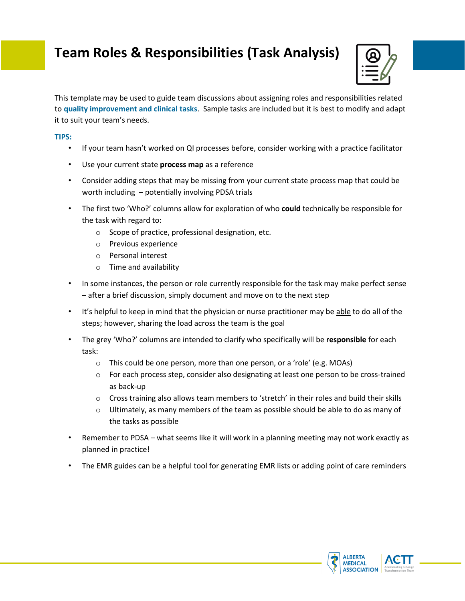## **Team Roles & Responsibilities (Task Analysis)**



This template may be used to guide team discussions about assigning roles and responsibilities related to **quality improvement and clinical tasks**. Sample tasks are included but it is best to modify and adapt it to suit your team's needs.

## **TIPS:**

- If your team hasn't worked on QI processes before, consider working with a practice facilitator
- Use your current state **process map** as a reference
- Consider adding steps that may be missing from your current state process map that could be worth including – potentially involving PDSA trials
- The first two 'Who?' columns allow for exploration of who **could** technically be responsible for the task with regard to:
	- o Scope of practice, professional designation, etc.
	- o Previous experience
	- o Personal interest
	- o Time and availability
- In some instances, the person or role currently responsible for the task may make perfect sense – after a brief discussion, simply document and move on to the next step
- It's helpful to keep in mind that the physician or nurse practitioner may be able to do all of the steps; however, sharing the load across the team is the goal
- The grey 'Who?' columns are intended to clarify who specifically will be **responsible** for each task:
	- o This could be one person, more than one person, or a 'role' (e.g. MOAs)
	- o For each process step, consider also designating at least one person to be cross-trained as back-up
	- $\circ$  Cross training also allows team members to 'stretch' in their roles and build their skills
	- $\circ$  Ultimately, as many members of the team as possible should be able to do as many of the tasks as possible
- Remember to PDSA what seems like it will work in a planning meeting may not work exactly as planned in practice!
- The EMR guides can be a helpful tool for generating EMR lists or adding point of care reminders